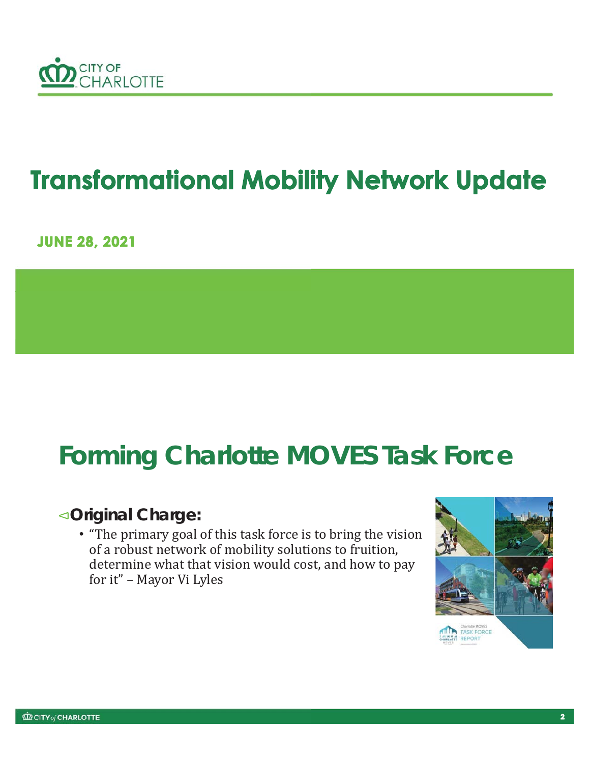

# **Transformational Mobility Network Update**

**JUNE 28, 2021** 

# **Forming Charlotte MOVES Task Force**

#### ٱ**Original Charge:**

• "The primary goal of this task force is to bring the vision of a robust network of mobility solutions to fruition, determine what that vision would cost, and how to pay for it" – Mayor Vi Lyles

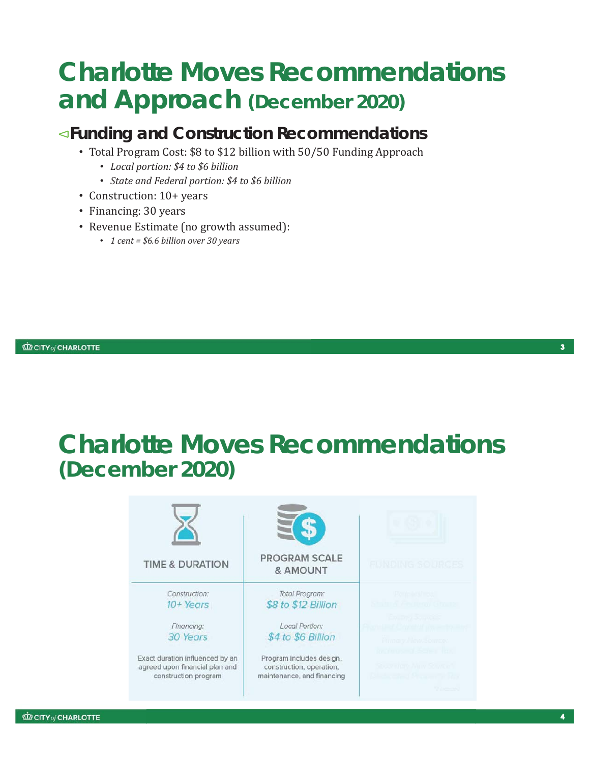### **Charlotte Moves Recommendations and Approach (December 2020)**

#### ٱ**Funding and Construction Recommendations**

- Total Program Cost: \$8 to \$12 billion with 50/50 Funding Approach
	- *Local portion: \$4 to \$6 billion*
	- *State and Federal portion: \$4 to \$6 billion*
- Construction: 10+ years
- Financing: 30 years
- Revenue Estimate (no growth assumed):
	- *1 cent = \$6.6 billion over 30 years*

 $\mathbf{R}$ 

### **Charlotte Moves Recommendations (***December 2020)*

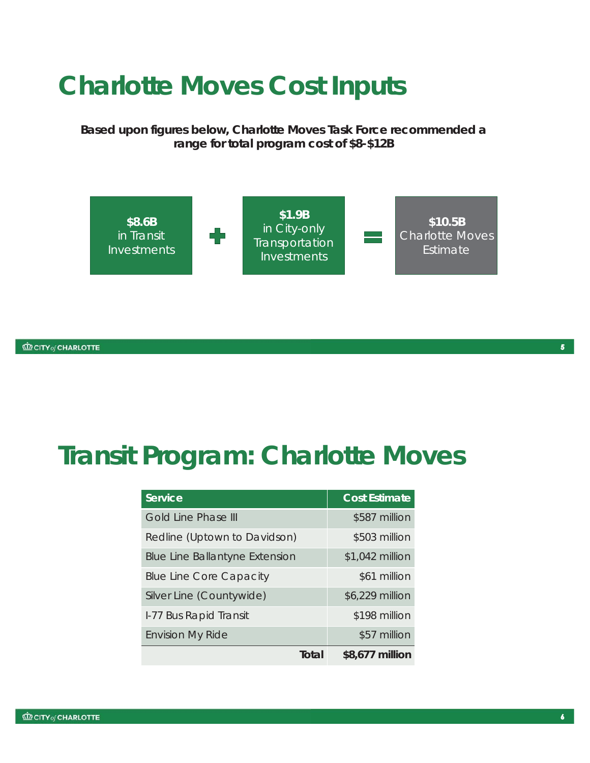### **Charlotte Moves Cost Inputs**

*Based upon figures below, Charlotte Moves Task Force recommended a range for total program cost of \$8-\$12B*



### **Transit Program: Charlotte Moves**

| <b>Service</b>                        | <b>Cost Estimate</b> |
|---------------------------------------|----------------------|
| Gold Line Phase III                   | \$587 million        |
| Redline (Uptown to Davidson)          | \$503 million        |
| <b>Blue Line Ballantyne Extension</b> | \$1,042 million      |
| <b>Blue Line Core Capacity</b>        | \$61 million         |
| Silver Line (Countywide)              | \$6,229 million      |
| I-77 Bus Rapid Transit                | \$198 million        |
| <b>Envision My Ride</b>               | \$57 million         |
| Total                                 | \$8,677 million      |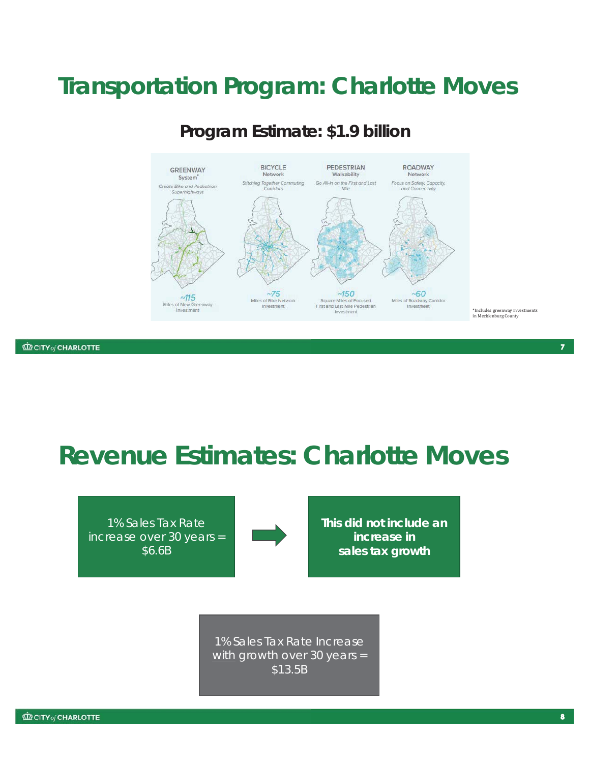### **Transportation Program: Charlotte Moves**



**Program Estimate: \$1.9 billion**

**CD CITY of CHARLOTTE** 

**Revenue Estimates: Charlotte Moves** 

1% Sales Tax Rate increase over 30 years = \$6.6B



**This did not include an increase in sales tax growth**

1% Sales Tax Rate Increase with growth over 30 years = \$13.5B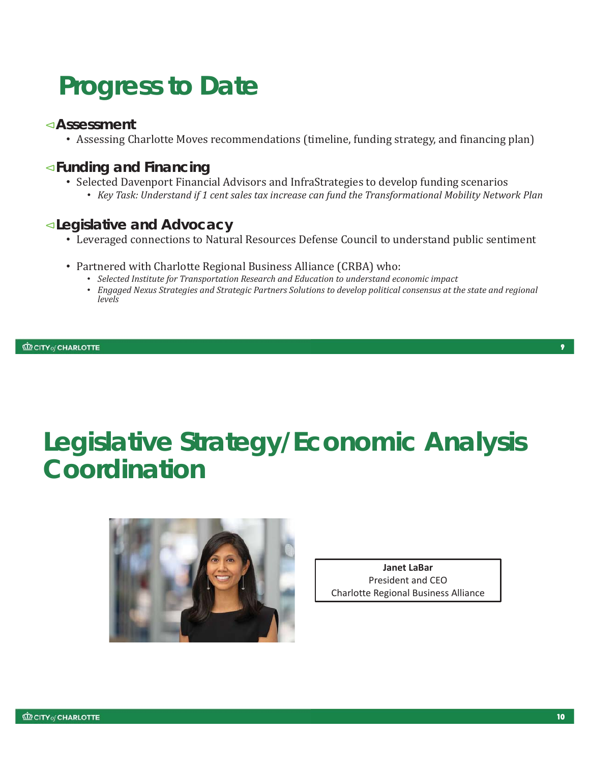# **Progress to Date**

#### **Assessment**ٱ

• Assessing Charlotte Moves recommendations (timeline, funding strategy, and financing plan)

#### ٱ**Funding and Financing**

- Selected Davenport Financial Advisors and InfraStrategies to develop funding scenarios
	- *Key Task: Understand if 1 cent sales tax increase can fund the Transformational Mobility Network Plan*

#### ٱ**Legislative and Advocacy**

- Leveraged connections to Natural Resources Defense Council to understand public sentiment
- Partnered with Charlotte Regional Business Alliance (CRBA) who:
	- *Selected Institute for Transportation Research and Education to understand economic impact*
	- *Engaged Nexus Strategies and Strategic Partners Solutions to develop political consensus at the state and regional levels*



**Janet LaBar** President and CEO Charlotte Regional Business Alliance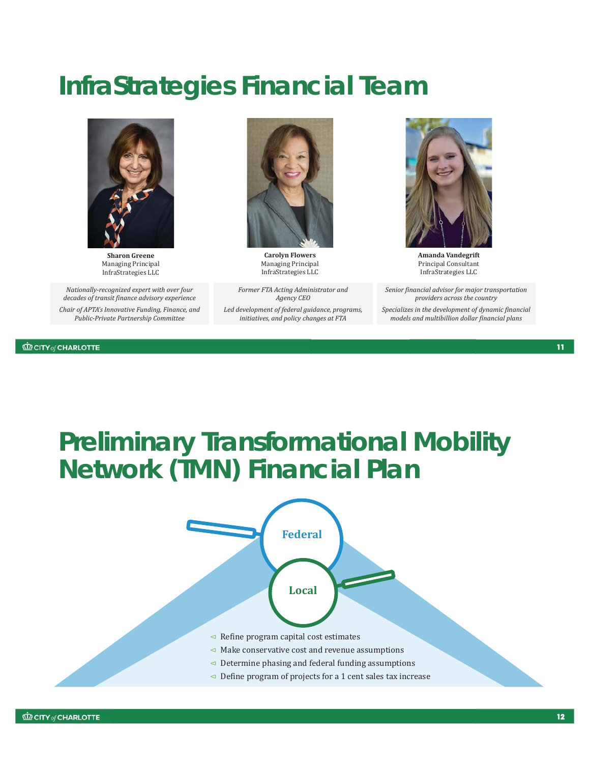### **InfraStrategies Financial Team**



**Sharon Greene** Managing Principal InfraStrategies LLC

*Nationally-recognized expert with over four decades of transit finance advisory experience Chair of APTA's Innovative Funding, Finance, and Public-Private Partnership Committee*

**CD CITY** of CHARLOTTE



**Carolyn Flowers** Managing Principal InfraStrategies LLC

*Former FTA Acting Administrator and Agency CEO Led development of federal guidance, programs, initiatives, and policy changes at FTA*



**Amanda Vandegrift** Principal Consultant InfraStrategies LLC

*Senior financial advisor for major transportation providers across the country Specializes in the development of dynamic financial models and multibillion dollar financial plans* 

#### $11$

### **Preliminary Transformational Mobility Network (TMN) Financial Plan**

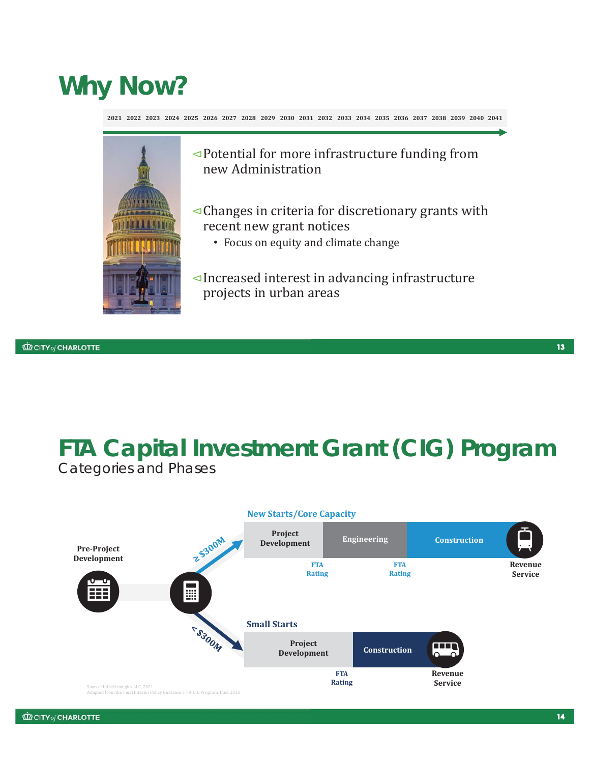# **Why Now?**

**2021 2022 2023 2024 2025 2026 2027 2028 2029 2030 2031 2032 2033 2034 2035 2036 2037 2038 2039 2040 2041**



- ٱPotential for more infrastructure funding from new Administration
- $\triangleleft$ Changes in criteria for discretionary grants with recent new grant notices
	- Focus on equity and climate change
- ٱIncreased interest in advancing infrastructure projects in urban areas

### **FTA Capital Investment Grant (CIG) Program** Categories and Phases



**CD CITY of CHARLOTTE**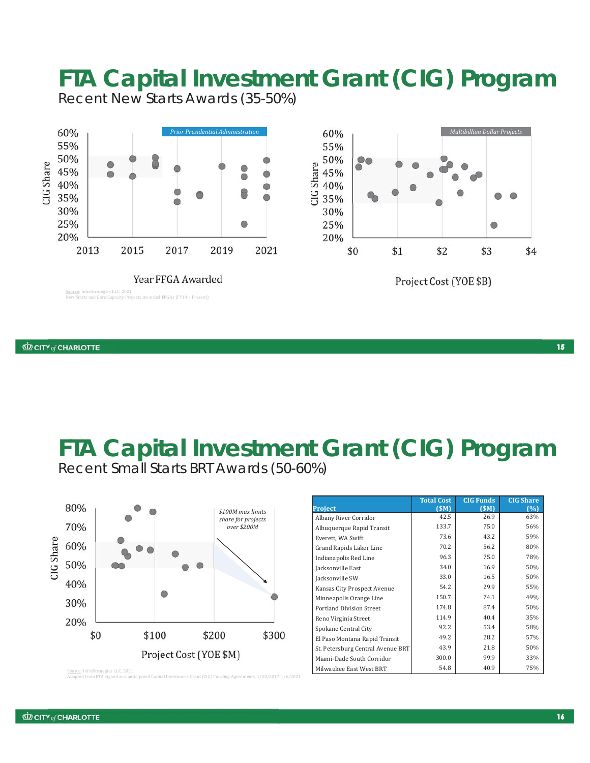

Recent New Starts Awards (35-50%)



#### **FTA Capital Investment Grant (CIG) Program** Recent Small Starts BRT Awards (50-60%)



|                                   | <b>Total Cost</b> | <b>CIG Funds</b> | <b>CIG Share</b> |
|-----------------------------------|-------------------|------------------|------------------|
| <b>Project</b>                    | (SM)              | (SM)             | (%)              |
| Albany River Corridor             | 42.5              | 26.9             | 63%              |
| Albuquerque Rapid Transit         | 133.7             | 75.0             | 56%              |
| Everett, WA Swift                 | 73.6              | 43.2             | 59%              |
| Grand Rapids Laker Line           | 70.2              | 56.2             | 80%              |
| Indianapolis Red Line             | 96.3              | 75.0             | 78%              |
| Jacksonville East                 | 34.0              | 16.9             | 50%              |
| Jacksonville SW                   | 33.0              | 16.5             | 50%              |
| Kansas City Prospect Avenue       | 54.2              | 29.9             | 55%              |
| Minneapolis Orange Line           | 150.7             | 74.1             | 49%              |
| <b>Portland Division Street</b>   | 174.8             | 87.4             | 50%              |
| Reno Virginia Street              | 114.9             | 40.4             | 35%              |
| Spokane Central City              | 92.2              | 53.4             | 58%              |
| El Paso Montana Rapid Transit     | 49.2              | 28.2             | 57%              |
| St. Petersburg Central Avenue BRT | 43.9              | 21.8             | 50%              |
| Miami-Dade South Corridor         | 300.0             | 99.9             | 33%              |
| Milwaukee East West BRT           | 54.8              | 40.9             | 75%              |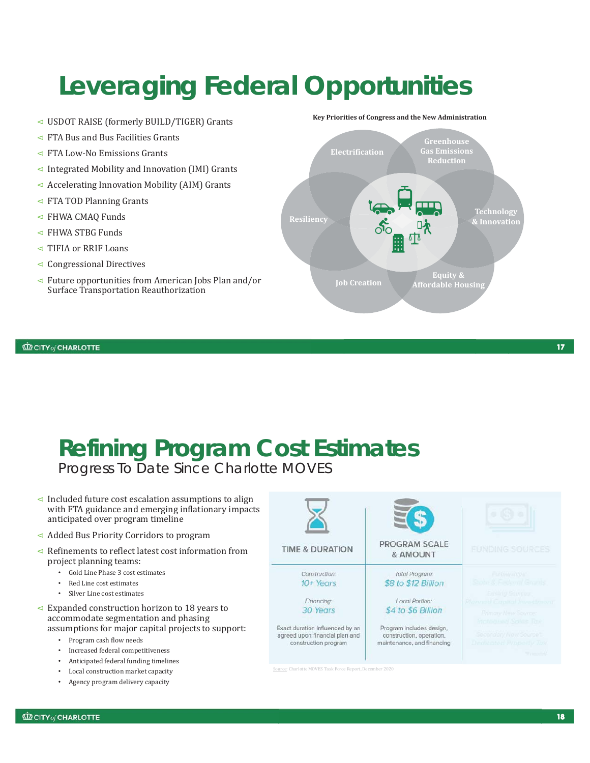# **Leveraging Federal Opportunities**

- ٱ USDOT RAISE (formerly BUILD/TIGER) Grants
- $\triangleleft$  FTA Bus and Bus Facilities Grants
- $\triangleleft$  FTA Low-No Emissions Grants
- $\triangleleft$  Integrated Mobility and Innovation (IMI) Grants
- $\triangleleft$  Accelerating Innovation Mobility (AIM) Grants
- $\triangleleft$  FTA TOD Planning Grants
- $\triangleleft$  FHWA CMAO Funds
- $\triangleleft$  FHWA STBG Funds
- $\triangleleft$  TIFIA or RRIF Loans
- $\triangleleft$  Congressional Directives
- $\triangleleft$  Future opportunities from American Jobs Plan and/or Surface Transportation Reauthorization

#### **Key Priorities of Congress and the New Administration**



**CD CITY of CHARLOTTE** 

### **Refining Program Cost Estimates**  Progress To Date Since Charlotte MOVES

 $\triangleleft$  Included future cost escalation assumptions to align with FTA guidance and emerging inflationary impacts anticipated over program timeline

- ٱ Added Bus Priority Corridors to program
- $\triangleleft$  Refinements to reflect latest cost information from project planning teams:
	- Gold Line Phase 3 cost estimates
	- Red Line cost estimates
	- Silver Line cost estimates
- $\triangleleft$  Expanded construction horizon to 18 years to accommodate segmentation and phasing assumptions for major capital projects to support:
	- Program cash flow needs
	- Increased federal competitiveness
	- Anticipated federal funding timelines
	- Local construction market capacity
	- Agency program delivery capacity



#### **TIME & DURATION**

Construction:  $10 + Years$ 

> Financing: 30 Years

Exact duration influenced by an agreed upon financial plan and construction program

Source: Charlotte MOVES Task Force Report, Dec



**PROGRAM SCALE** & AMOUNT

Total Program: \$8 to \$12 Billion

#### Local Portion: \$4 to \$6 Billion

Program includes design, construction, operation, maintenance, and financing

 $17$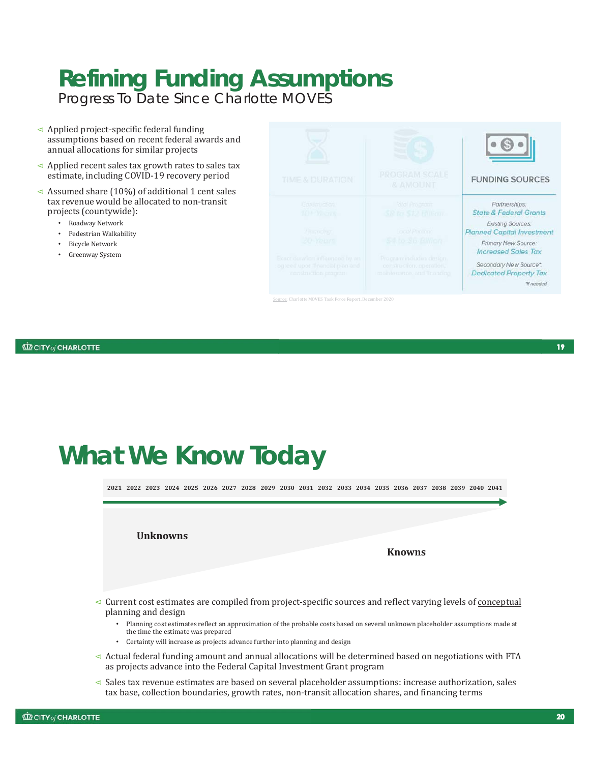# **Refining Funding Assumptions**

Progress To Date Since Charlotte MOVES

- $\triangleleft$  Applied project-specific federal funding assumptions based on recent federal awards and annual allocations for similar projects
- $\triangleleft$  Applied recent sales tax growth rates to sales tax estimate, including COVID-19 recovery period
- $\triangleleft$  Assumed share (10%) of additional 1 cent sales tax revenue would be allocated to non-transit projects (countywide):
	- Roadway Network
	- Pedestrian Walkability
	- Bicycle Network
	- Greenway System



e: Charlotte MOVES Task Force Report, Dec

**CD CITY of CHARLOTTE** 

## **What We Know Today**

**2021 2022 2023 2024 2025 2026 2027 2028 2029 2030 2031 2032 2033 2034 2035 2036 2037 2038 2039 2040 2041**

**Unknowns**

**Knowns**

- ٱ Current cost estimates are compiled from project-specific sources and reflect varying levels of conceptual planning and design
	- Planning cost estimates reflect an approximation of the probable costs based on several unknown placeholder assumptions made at the time the estimate was prepared
	- Certainty will increase as projects advance further into planning and design
- ٱ Actual federal funding amount and annual allocations will be determined based on negotiations with FTA as projects advance into the Federal Capital Investment Grant program
- ٱ Sales tax revenue estimates are based on several placeholder assumptions: increase authorization, sales tax base, collection boundaries, growth rates, non-transit allocation shares, and financing terms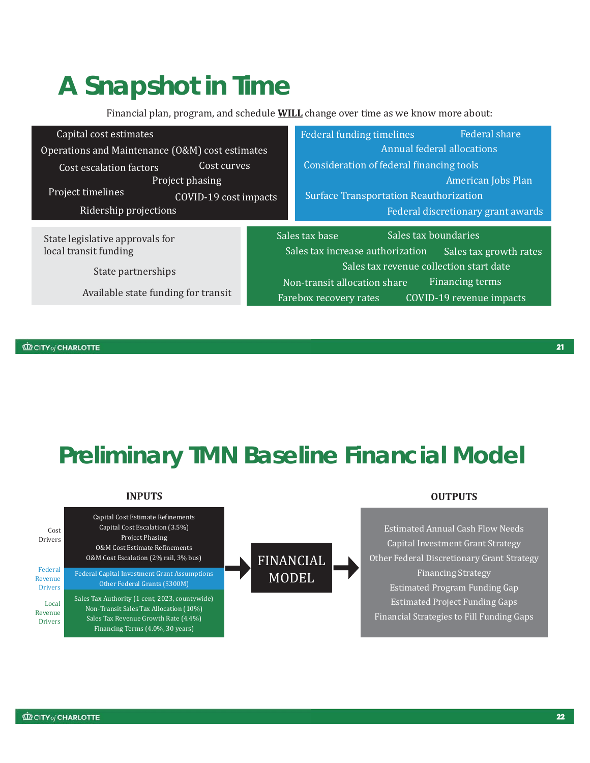# **A Snapshot in Time**

Financial plan, program, and schedule **WILL** change over time as we know more about:

| Capital cost estimates                          |  | Federal funding timelines                     | <b>Federal share</b>               |  |
|-------------------------------------------------|--|-----------------------------------------------|------------------------------------|--|
| Operations and Maintenance (O&M) cost estimates |  | Annual federal allocations                    |                                    |  |
| Cost curves<br>Cost escalation factors          |  | Consideration of federal financing tools      |                                    |  |
| Project phasing                                 |  |                                               | American Jobs Plan                 |  |
| Project timelines<br>COVID-19 cost impacts      |  | <b>Surface Transportation Reauthorization</b> |                                    |  |
| Ridership projections                           |  |                                               | Federal discretionary grant awards |  |
|                                                 |  |                                               |                                    |  |
|                                                 |  |                                               |                                    |  |
| State legislative approvals for                 |  | Sales tax base                                | Sales tax boundaries               |  |
| local transit funding                           |  | Sales tax increase authorization              | Sales tax growth rates             |  |
|                                                 |  | Sales tax revenue collection start date       |                                    |  |
| State partnerships                              |  | Non-transit allocation share                  | Financing terms                    |  |
| Available state funding for transit             |  | Farebox recovery rates                        | COVID-19 revenue impacts           |  |

**CD CITY of CHARLOTTE** 

**Preliminary TMN Baseline Financial Model**

#### **INPUTS**



#### **OUTPUTS**

Estimated Annual Cash Flow Needs Capital Investment Grant Strategy Other Federal Discretionary Grant Strategy Financing Strategy Estimated Program Funding Gap Estimated Project Funding Gaps Financial Strategies to Fill Funding Gaps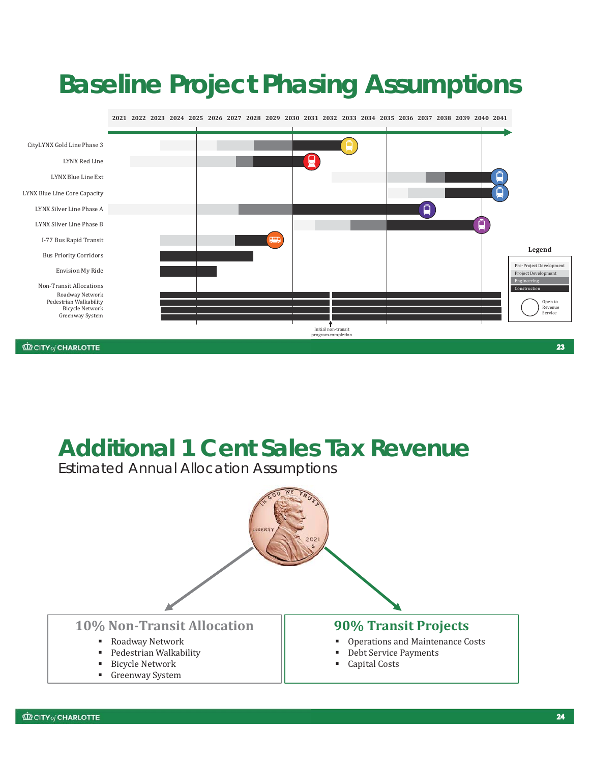# **Baseline Project Phasing Assumptions**



### **Additional 1 Cent Sales Tax Revenue**

Estimated Annual Allocation Assumptions

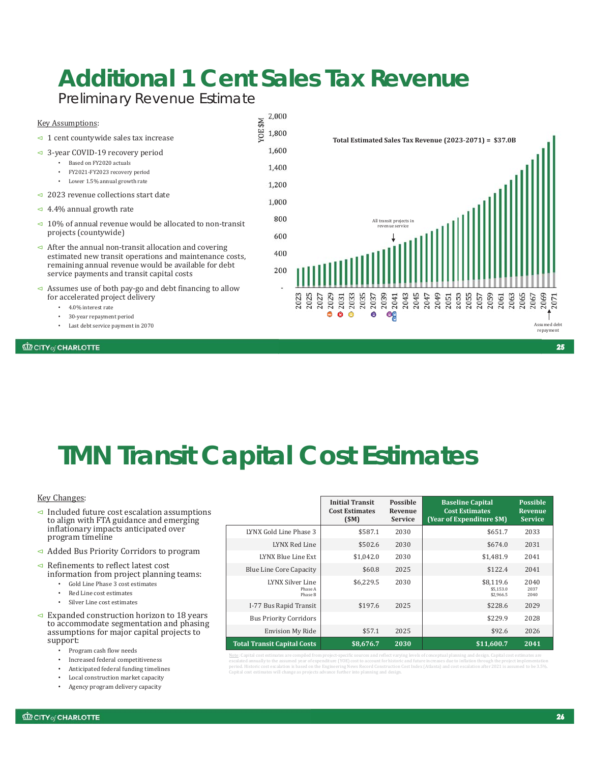# **Additional 1 Cent Sales Tax Revenue**

Preliminary Revenue Estimate

| <b>Key Assumptions:</b>                                                                                                         |              | 2,000 |
|---------------------------------------------------------------------------------------------------------------------------------|--------------|-------|
| $\triangleleft$ 1 cent countywide sales tax increase                                                                            | <b>NS30/</b> | 1,800 |
| $\triangleleft$ 3-year COVID-19 recovery period                                                                                 |              | 1,600 |
| Based on FY2020 actuals<br>FY2021-FY2023 recovery period<br>٠                                                                   |              | 1,400 |
| Lower 1.5% annual growth rate<br>٠                                                                                              |              | 1,200 |
| $\leq$ 2023 revenue collections start date                                                                                      |              | 1,000 |
| $\triangleleft$ 4.4% annual growth rate                                                                                         |              |       |
| $\triangleleft$ 10% of annual revenue would be allocated to non-transit                                                         |              | 800   |
| projects (countywide)                                                                                                           |              | 600   |
| $\triangleleft$ After the annual non-transit allocation and covering<br>estimated new transit operations and maintenance costs, |              | 400   |
| remaining annual revenue would be available for debt<br>service payments and transit capital costs                              |              | 200   |
| $\triangleleft$ Assumes use of both pay-go and debt financing to allow<br>for assologized project dolivers                      |              |       |

- for accelerated project delivery
	- 4.0% interest rate
	- 30-year repayment period
	- Last debt service payment in 2070

#### **CD CITY of CHARLOTTE**



# **TMN Transit Capital Cost Estimates**

#### Key Changes:

- $\triangleleft$  Included future cost escalation assumptions to align with FTA guidance and emerging inflationary impacts anticipated over program timeline
- ٱ Added Bus Priority Corridors to program
- $\triangleleft$  Refinements to reflect latest cost information from project planning teams:
	- Gold Line Phase 3 cost estimates
	- Red Line cost estimates
	- Silver Line cost estimates
- $\triangleleft$  Expanded construction horizon to 18 years to accommodate segmentation and phasing assumptions for major capital projects to support:
	- Program cash flow needs
	- Increased federal competitiveness
	- Anticipated federal funding timelines
	- Local construction market capacity
	- Agency program delivery capacity

|                                        | <b>Initial Transit</b><br><b>Cost Estimates</b><br>(SM) | <b>Possible</b><br>Revenue<br><b>Service</b> | <b>Baseline Capital</b><br><b>Cost Estimates</b><br>(Year of Expenditure \$M) | <b>Possible</b><br><b>Revenue</b><br><b>Service</b> |
|----------------------------------------|---------------------------------------------------------|----------------------------------------------|-------------------------------------------------------------------------------|-----------------------------------------------------|
| LYNX Gold Line Phase 3                 | \$587.1                                                 | 2030                                         | \$651.7                                                                       | 2033                                                |
| LYNX Red Line                          | \$502.6                                                 | 2030                                         | \$674.0                                                                       | 2031                                                |
| LYNX Blue Line Ext                     | \$1,042.0                                               | 2030                                         | \$1,481.9                                                                     | 2041                                                |
| Blue Line Core Capacity                | \$60.8                                                  | 2025                                         | \$122.4                                                                       | 2041                                                |
| LYNX Silver Line<br>Phase A<br>Phase B | \$6,229.5                                               | 2030                                         | \$8,119.6<br>\$5,153.0<br>\$2,966.5                                           | 2040<br>2037<br>2040                                |
| I-77 Bus Rapid Transit                 | \$197.6                                                 | 2025                                         | \$228.6                                                                       | 2029                                                |
| <b>Bus Priority Corridors</b>          |                                                         |                                              | \$229.9                                                                       | 2028                                                |
| <b>Envision My Ride</b>                | \$57.1                                                  | 2025                                         | \$92.6                                                                        | 2026                                                |
| <b>Total Transit Capital Costs</b>     | \$8,676.7                                               | 2030                                         | \$11,600.7                                                                    | 2041                                                |

Note: Capital cost estimates are compiled from project-specific sources and reflect varying levels of conceptual planning and design. Capital cost estimates are escalated annually to the assumed year of expenditure (YOE) cost to account for historic and future increases due to inflation through the project implementation<br>period. Historic cost escalation is based on the Engineering Capital cost estimates will change as projects advance further into planning and design.

25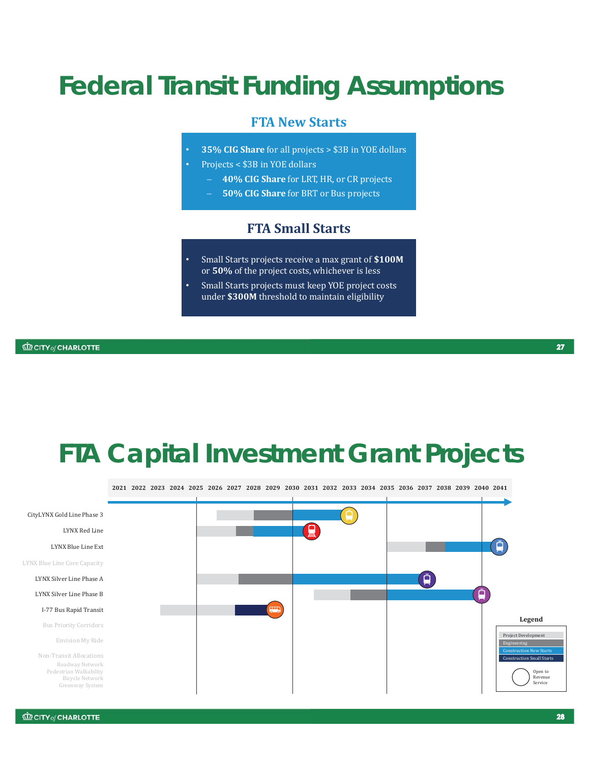# **Federal Transit Funding Assumptions**

#### **FTA New Starts**

- **35% CIG Share** for all projects > \$3B in YOE dollars
- Projects < \$3B in YOE dollars
	- **40% CIG Share** for LRT, HR, or CR projects
	- **50% CIG Share** for BRT or Bus projects

#### **FTA Small Starts**

- Small Starts projects receive a max grant of **\$100M**  or **50%** of the project costs, whichever is less
- Small Starts projects must keep YOE project costs under **\$300M** threshold to maintain eligibility

### **FTA Capital Investment Grant Projects**

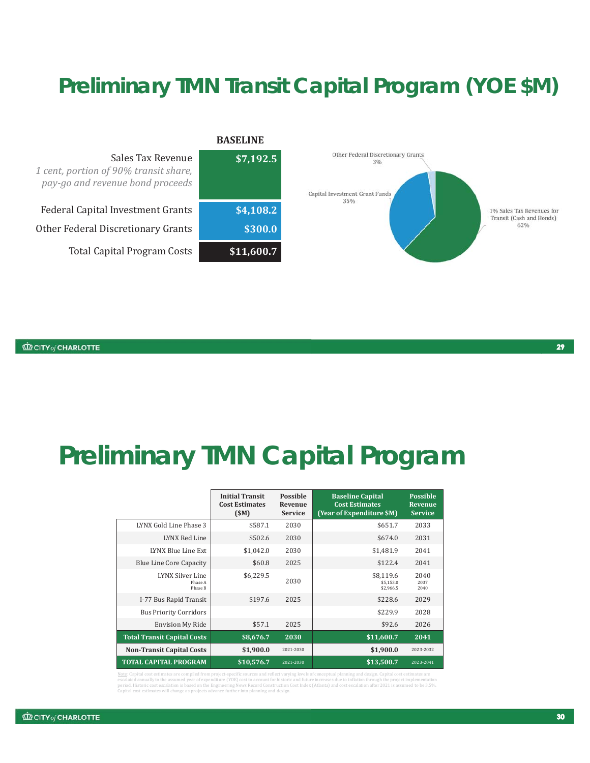### **Preliminary TMN Transit Capital Program (YOE \$M)**



## **Preliminary TMN Capital Program**

|                                               | <b>Initial Transit</b><br><b>Cost Estimates</b><br>(SM) | <b>Possible</b><br>Revenue<br><b>Service</b> | <b>Baseline Capital</b><br><b>Cost Estimates</b><br>(Year of Expenditure \$M) | <b>Possible</b><br>Revenue<br><b>Service</b> |
|-----------------------------------------------|---------------------------------------------------------|----------------------------------------------|-------------------------------------------------------------------------------|----------------------------------------------|
| LYNX Gold Line Phase 3                        | \$587.1                                                 | 2030                                         | \$651.7                                                                       | 2033                                         |
| LYNX Red Line                                 | \$502.6                                                 | 2030                                         | \$674.0                                                                       | 2031                                         |
| LYNX Blue Line Ext                            | \$1,042.0                                               | 2030                                         | \$1,481.9                                                                     | 2041                                         |
| <b>Blue Line Core Capacity</b>                | \$60.8                                                  | 2025                                         | \$122.4                                                                       | 2041                                         |
| <b>LYNX Silver Line</b><br>Phase A<br>Phase B | \$6,229.5                                               | 2030                                         | \$8,119.6<br>\$5.153.0<br>\$2,966.5                                           | 2040<br>2037<br>2040                         |
| I-77 Bus Rapid Transit                        | \$197.6                                                 | 2025                                         | \$228.6                                                                       | 2029                                         |
| <b>Bus Priority Corridors</b>                 |                                                         |                                              | \$229.9                                                                       | 2028                                         |
| <b>Envision My Ride</b>                       | \$57.1                                                  | 2025                                         | \$92.6                                                                        | 2026                                         |
| <b>Total Transit Capital Costs</b>            | \$8,676.7                                               | 2030                                         | \$11,600.7                                                                    | 2041                                         |
| <b>Non-Transit Capital Costs</b>              | \$1,900.0                                               | 2021-2030                                    | \$1,900.0                                                                     | 2023-2032                                    |
| <b>TOTAL CAPITAL PROGRAM</b>                  | \$10,576.7                                              | 2021-2030                                    | \$13,500.7                                                                    | 2023-2041                                    |

ng and design. Capital cost esti<mark>r</mark> escalated annually to the assumed year of expenditure (YOE) cost to account for historic and future increases due to inflation through the project implementation<br>period. Historic cost escalation is based on the Engineering ates will change as projects advance further into planning and design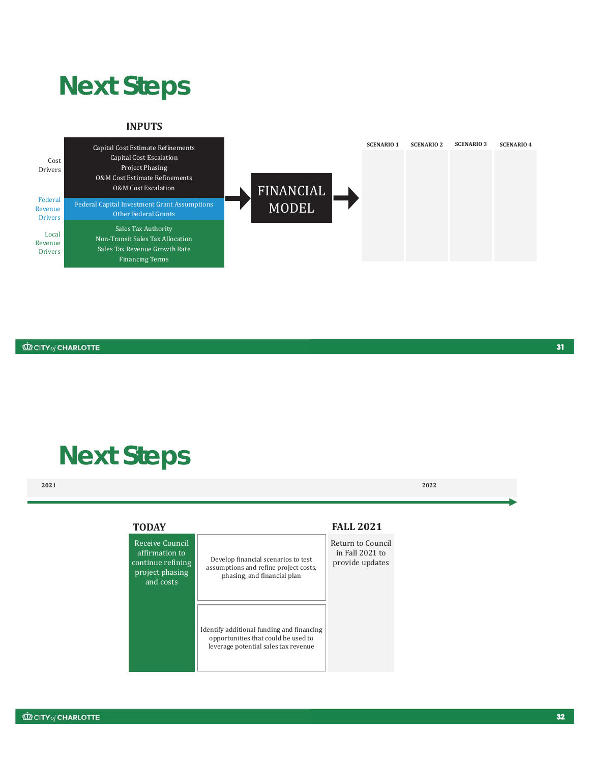### **Next Steps**

#### **INPUTS**



#### **CD CITY** of CHARLOTTE

# **Next Steps**

**2021 2022**

| <b>TODAY</b>                                                                           |                                                                                                                          | <b>FALL 2021</b>                                        |
|----------------------------------------------------------------------------------------|--------------------------------------------------------------------------------------------------------------------------|---------------------------------------------------------|
| Receive Council<br>affirmation to<br>continue refining<br>project phasing<br>and costs | Develop financial scenarios to test<br>assumptions and refine project costs.<br>phasing, and financial plan              | Return to Council<br>in Fall 2021 to<br>provide updates |
|                                                                                        | Identify additional funding and financing<br>opportunities that could be used to<br>leverage potential sales tax revenue |                                                         |